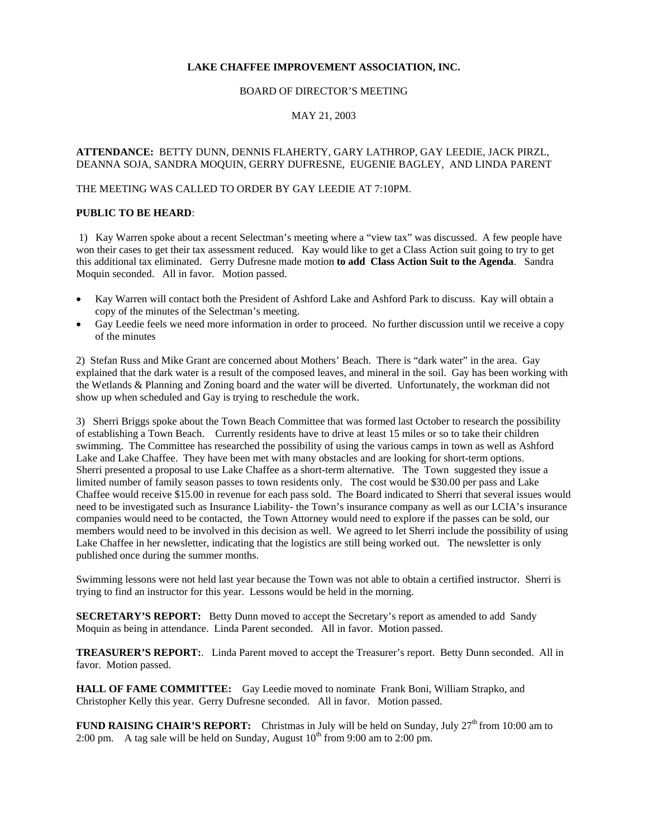# **LAKE CHAFFEE IMPROVEMENT ASSOCIATION, INC.**

#### BOARD OF DIRECTOR'S MEETING

### MAY 21, 2003

## **ATTENDANCE:** BETTY DUNN, DENNIS FLAHERTY, GARY LATHROP, GAY LEEDIE, JACK PIRZL, DEANNA SOJA, SANDRA MOQUIN, GERRY DUFRESNE, EUGENIE BAGLEY, AND LINDA PARENT

### THE MEETING WAS CALLED TO ORDER BY GAY LEEDIE AT 7:10PM.

## **PUBLIC TO BE HEARD**:

 1) Kay Warren spoke about a recent Selectman's meeting where a "view tax" was discussed. A few people have won their cases to get their tax assessment reduced. Kay would like to get a Class Action suit going to try to get this additional tax eliminated. Gerry Dufresne made motion **to add Class Action Suit to the Agenda**. Sandra Moquin seconded. All in favor. Motion passed.

- Kay Warren will contact both the President of Ashford Lake and Ashford Park to discuss. Kay will obtain a copy of the minutes of the Selectman's meeting.
- Gay Leedie feels we need more information in order to proceed. No further discussion until we receive a copy of the minutes

2) Stefan Russ and Mike Grant are concerned about Mothers' Beach. There is "dark water" in the area. Gay explained that the dark water is a result of the composed leaves, and mineral in the soil. Gay has been working with the Wetlands & Planning and Zoning board and the water will be diverted. Unfortunately, the workman did not show up when scheduled and Gay is trying to reschedule the work.

3) Sherri Briggs spoke about the Town Beach Committee that was formed last October to research the possibility of establishing a Town Beach. Currently residents have to drive at least 15 miles or so to take their children swimming. The Committee has researched the possibility of using the various camps in town as well as Ashford Lake and Lake Chaffee. They have been met with many obstacles and are looking for short-term options. Sherri presented a proposal to use Lake Chaffee as a short-term alternative. The Town suggested they issue a limited number of family season passes to town residents only. The cost would be \$30.00 per pass and Lake Chaffee would receive \$15.00 in revenue for each pass sold. The Board indicated to Sherri that several issues would need to be investigated such as Insurance Liability- the Town's insurance company as well as our LCIA's insurance companies would need to be contacted, the Town Attorney would need to explore if the passes can be sold, our members would need to be involved in this decision as well. We agreed to let Sherri include the possibility of using Lake Chaffee in her newsletter, indicating that the logistics are still being worked out. The newsletter is only published once during the summer months.

Swimming lessons were not held last year because the Town was not able to obtain a certified instructor. Sherri is trying to find an instructor for this year. Lessons would be held in the morning.

**SECRETARY'S REPORT:** Betty Dunn moved to accept the Secretary's report as amended to add Sandy Moquin as being in attendance. Linda Parent seconded. All in favor. Motion passed.

**TREASURER'S REPORT:**. Linda Parent moved to accept the Treasurer's report. Betty Dunn seconded. All in favor. Motion passed.

**HALL OF FAME COMMITTEE:** Gay Leedie moved to nominate Frank Boni, William Strapko, and Christopher Kelly this year. Gerry Dufresne seconded. All in favor. Motion passed.

**FUND RAISING CHAIR'S REPORT:** Christmas in July will be held on Sunday, July 27<sup>th</sup> from 10:00 am to 2:00 pm. A tag sale will be held on Sunday, August  $10^{th}$  from 9:00 am to 2:00 pm.